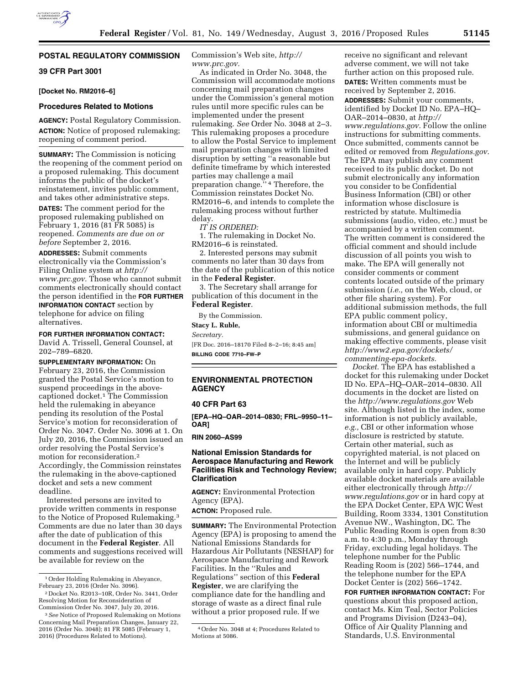# **POSTAL REGULATORY COMMISSION**

## **39 CFR Part 3001**

### **[Docket No. RM2016–6]**

#### **Procedures Related to Motions**

**AGENCY:** Postal Regulatory Commission. **ACTION:** Notice of proposed rulemaking; reopening of comment period.

**SUMMARY:** The Commission is noticing the reopening of the comment period on a proposed rulemaking. This document informs the public of the docket's reinstatement, invites public comment, and takes other administrative steps.

**DATES:** The comment period for the proposed rulemaking published on February 1, 2016 (81 FR 5085) is reopened. *Comments are due on or before* September 2, 2016.

**ADDRESSES:** Submit comments electronically via the Commission's Filing Online system at *[http://](http://www.prc.gov) [www.prc.gov.](http://www.prc.gov)* Those who cannot submit comments electronically should contact the person identified in the **FOR FURTHER INFORMATION CONTACT** section by telephone for advice on filing alternatives.

**FOR FURTHER INFORMATION CONTACT:**  David A. Trissell, General Counsel, at 202–789–6820.

**SUPPLEMENTARY INFORMATION:** On February 23, 2016, the Commission granted the Postal Service's motion to suspend proceedings in the abovecaptioned docket.1 The Commission held the rulemaking in abeyance pending its resolution of the Postal Service's motion for reconsideration of Order No. 3047. Order No. 3096 at 1. On July 20, 2016, the Commission issued an order resolving the Postal Service's motion for reconsideration.2 Accordingly, the Commission reinstates the rulemaking in the above-captioned docket and sets a new comment deadline.

Interested persons are invited to provide written comments in response to the Notice of Proposed Rulemaking.3 Comments are due no later than 30 days after the date of publication of this document in the **Federal Register**. All comments and suggestions received will be available for review on the

Commission's Web site, *[http://](http://www.prc.gov) [www.prc.gov.](http://www.prc.gov)* 

As indicated in Order No. 3048, the Commission will accommodate motions concerning mail preparation changes under the Commission's general motion rules until more specific rules can be implemented under the present rulemaking. *See* Order No. 3048 at 2–3. This rulemaking proposes a procedure to allow the Postal Service to implement mail preparation changes with limited disruption by setting ''a reasonable but definite timeframe by which interested parties may challenge a mail preparation change.'' 4 Therefore, the Commission reinstates Docket No. RM2016–6, and intends to complete the rulemaking process without further delay.

*IT IS ORDERED:* 

1. The rulemaking in Docket No. RM2016–6 is reinstated.

2. Interested persons may submit comments no later than 30 days from the date of the publication of this notice in the **Federal Register**.

3. The Secretary shall arrange for publication of this document in the **Federal Register**.

By the Commission.

**Stacy L. Ruble,**  *Secretary.* 

[FR Doc. 2016–18170 Filed 8–2–16; 8:45 am] **BILLING CODE 7710–FW–P** 

## **ENVIRONMENTAL PROTECTION AGENCY**

## **40 CFR Part 63**

**[EPA–HQ–OAR–2014–0830; FRL–9950–11– OAR]** 

**RIN 2060–AS99** 

### **National Emission Standards for Aerospace Manufacturing and Rework Facilities Risk and Technology Review; Clarification**

**AGENCY:** Environmental Protection Agency (EPA).

**ACTION:** Proposed rule.

**SUMMARY:** The Environmental Protection Agency (EPA) is proposing to amend the National Emissions Standards for Hazardous Air Pollutants (NESHAP) for Aerospace Manufacturing and Rework Facilities. In the ''Rules and Regulations'' section of this **Federal Register**, we are clarifying the compliance date for the handling and storage of waste as a direct final rule without a prior proposed rule. If we

receive no significant and relevant adverse comment, we will not take further action on this proposed rule. **DATES:** Written comments must be received by September 2, 2016. **ADDRESSES:** Submit your comments, identified by Docket ID No. EPA–HQ– OAR–2014–0830, at *[http://](http://www.regulations.gov) [www.regulations.gov.](http://www.regulations.gov)* Follow the online instructions for submitting comments. Once submitted, comments cannot be edited or removed from *Regulations.gov*. The EPA may publish any comment received to its public docket. Do not submit electronically any information you consider to be Confidential Business Information (CBI) or other information whose disclosure is restricted by statute. Multimedia submissions (audio, video, etc.) must be accompanied by a written comment. The written comment is considered the official comment and should include discussion of all points you wish to make. The EPA will generally not consider comments or comment contents located outside of the primary submission (*i.e.,* on the Web, cloud, or other file sharing system). For additional submission methods, the full EPA public comment policy, information about CBI or multimedia submissions, and general guidance on making effective comments, please visit *[http://www2.epa.gov/dockets/](http://www2.epa.gov/dockets/commenting-epa-dockets) [commenting-epa-dockets.](http://www2.epa.gov/dockets/commenting-epa-dockets)* 

*Docket.* The EPA has established a docket for this rulemaking under Docket ID No. EPA–HQ–OAR–2014–0830. All documents in the docket are listed on the *<http://www.regulations.gov>*Web site. Although listed in the index, some information is not publicly available, *e.g.,* CBI or other information whose disclosure is restricted by statute. Certain other material, such as copyrighted material, is not placed on the Internet and will be publicly available only in hard copy. Publicly available docket materials are available either electronically through *[http://](http://www.regulations.gov) [www.regulations.gov](http://www.regulations.gov)* or in hard copy at the EPA Docket Center, EPA WJC West Building, Room 3334, 1301 Constitution Avenue NW., Washington, DC. The Public Reading Room is open from 8:30 a.m. to 4:30 p.m., Monday through Friday, excluding legal holidays. The telephone number for the Public Reading Room is (202) 566–1744, and the telephone number for the EPA Docket Center is (202) 566–1742.

**FOR FURTHER INFORMATION CONTACT:** For questions about this proposed action, contact Ms. Kim Teal, Sector Policies and Programs Division (D243–04), Office of Air Quality Planning and Standards, U.S. Environmental

<sup>1</sup>Order Holding Rulemaking in Abeyance, February 23, 2016 (Order No. 3096).

<sup>2</sup> Docket No. R2013–10R, Order No. 3441, Order Resolving Motion for Reconsideration of Commission Order No. 3047, July 20, 2016.

<sup>3</sup>*See* Notice of Proposed Rulemaking on Motions Concerning Mail Preparation Changes, January 22, 2016 (Order No. 3048); 81 FR 5085 (February 1, 2016) (Procedures Related to Motions).

<sup>4</sup>Order No. 3048 at 4; Procedures Related to Motions at 5086.